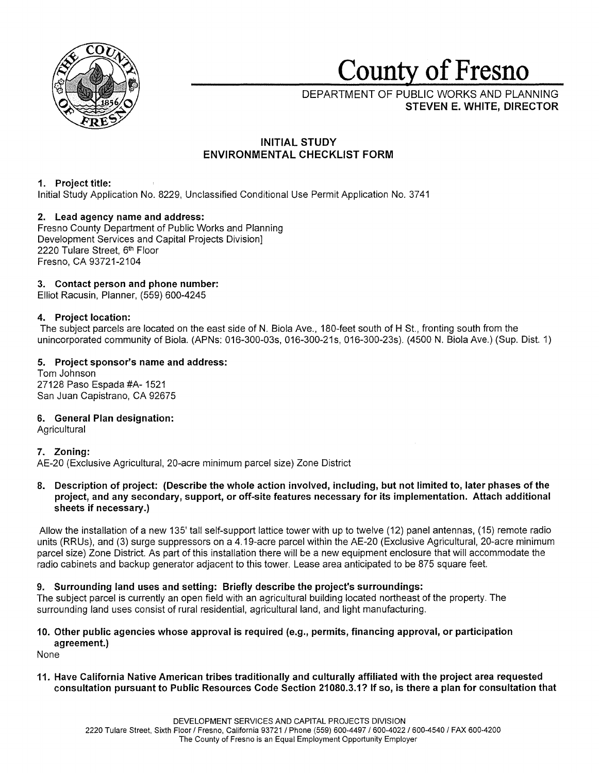

# **County of Fresno**

DEPARTMENT OF PUBLIC WORKS AND PLANNING **STEVEN E. WHITE, DIRECTOR** 

# **INITIAL STUDY ENVIRONMENTAL CHECKLIST FORM**

# **1. Project title:**

Initial Study Application No. 8229, Unclassified Conditional Use Permit Application No. 3741

# **2. Lead agency name and address:**

Fresno County Department of Public Works and Planning Development Services and Capital Projects Division] 2220 Tulare Street, 6<sup>th</sup> Floor Fresno, CA 93721-2104

# **3. Contact person and phone number:**

Elliot Racusin, Planner, (559) 600-4245

# **4. Project location:**

The subject parcels are located on the east side of **N.** Biola Ave., 180-feet south of H St., fronting south from the unincorporated community of Biola. (APNs: 016-300-03s, 016-300-21s, 016-300-23s). (4500 N. Biola Ave.) (Sup. Dist. 1)

# **5. Project sponsor's name and address:**

Tom Johnson 27128 Paso Espada #A- 1521 San Juan Capistrano, CA 92675

# **6. General Plan designation:**

**Agricultural** 

# **7. Zoning:**

AE-20 (Exclusive Agricultural, 20-acre minimum parcel size) Zone District

# **8. Description of project: (Describe the whole action involved, including, but not limited to, later phases of the project, and any secondary, support, or off-site features necessary for its implementation. Attach additional sheets if necessary.)**

Allow the installation of a new 135' tall self-support lattice tower with up to twelve (12) panel antennas, (15) remote radio units (RRUs), and (3) surge suppressors on a 4.19-acre parcel within the AE-20 (Exclusive Agricultural, 20-acre minimum parcel size) Zone District. As part of this installation there will be a new equipment enclosure that will accommodate the radio cabinets and backup generator adjacent to this tower. Lease area anticipated to be 875 square feet.

# **9. Surrounding land uses and setting: Briefly describe the project's surroundings:**

The subject parcel is currently an open field with an agricultural building located northeast of the property. The surrounding land uses consist of rural residential, agricultural land, and light manufacturing.

## **10. Other public agencies whose approval is required (e.g., permits, financing approval, or participation agreement.)**

None

**11. Have California Native American tribes traditionally and culturally affiliated with the project area requested consultation pursuant to Public Resources Code Section 21080.3.1? If so, is there a plan for consultation that**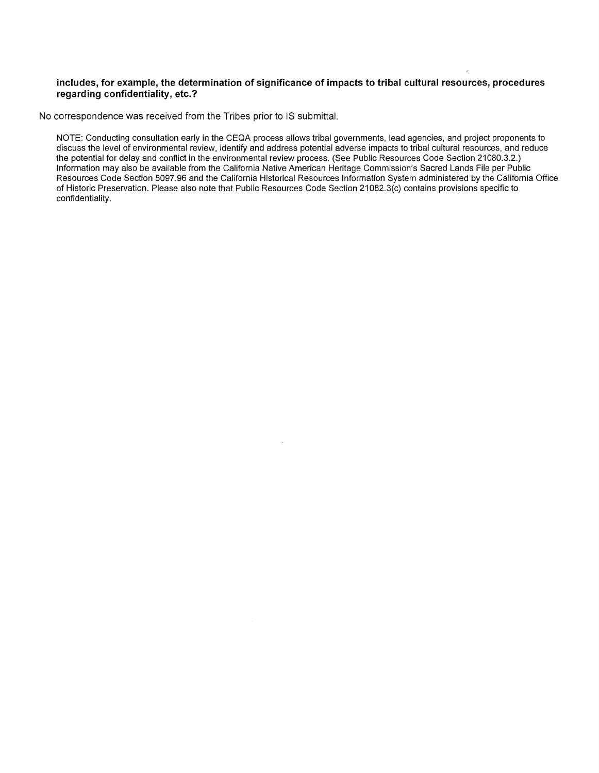## **includes, for example, the determination of significance of impacts to tribal cultural resources, procedures regarding confidentiality, etc.?**

No correspondence was received from the Tribes prior to IS submittal.

NOTE: Conducting consultation early in the CEQA process allows tribal governments, lead agencies, and project proponents to discuss the level of environmental review, identify and address potential adverse impacts to tribal cultural resources, and reduce the potential for delay and conflict in the environmental review process. (See Public Resources Code Section 21080.3.2.) Information may also be available from the California Native American Heritage Commission's Sacred Lands File per Public Resources Code Section 5097.96 and the California Historical Resources Information System administered by the California Office of Historic Preservation. Please also note that Public Resources Code Section 21082.3(c) contains provisions specific to confidentiality.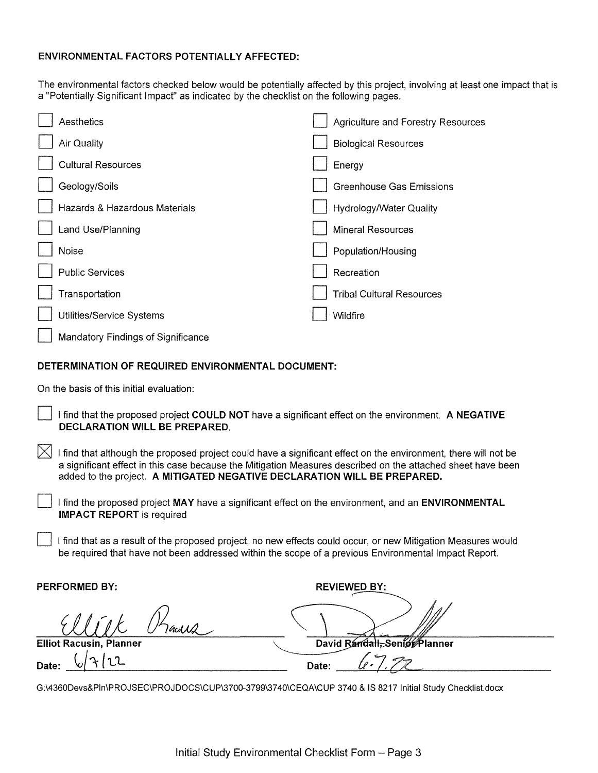# **ENVIRONMENTAL FACTORS POTENTIALLY AFFECTED:**

The environmental factors checked below would be potentially affected by this project, involving at least one impact that is a "Potentially Significant Impact" as indicated by the checklist on the following pages.

| Aesthetics                         | <b>Agriculture and Forestry Resources</b> |
|------------------------------------|-------------------------------------------|
| Air Quality                        | <b>Biological Resources</b>               |
| <b>Cultural Resources</b>          | Energy                                    |
| Geology/Soils                      | <b>Greenhouse Gas Emissions</b>           |
| Hazards & Hazardous Materials      | Hydrology/Water Quality                   |
| Land Use/Planning                  | <b>Mineral Resources</b>                  |
| Noise                              | Population/Housing                        |
| <b>Public Services</b>             | Recreation                                |
| Transportation                     | <b>Tribal Cultural Resources</b>          |
| Utilities/Service Systems          | Wildfire                                  |
| Mandatory Findings of Significance |                                           |

# **DETERMINATION OF REQUIRED ENVIRONMENTAL DOCUMENT:**

On the basis of this initial evaluation:

D I find that the proposed project **COULD NOT** have a significant effect on the environment. **A NEGATIVE DECLARATION WILL BE PREPARED.** 

 $\boxtimes$  I find that although the proposed project could have a significant effect on the environment, there will not be a significant effect in this case because the Mitigation Measures described on the attached sheet have been added to the project. **A MITIGATED NEGATIVE DECLARATION WILL BE PREPARED.** 

D I find the proposed project **MAY** have a significant effect on the environment, and an **ENVIRONMENTAL IMPACT REPORT** is required

I find that as a result of the proposed project, no new effects could occur, or new Mitigation Measures would be required that have not been addressed within the scope of a previous Environmental Impact Report.

**PERFORMED BY:** 

**Date:** 6/7/22

Gcd $\Lambda$ **Elliot Racusin, Planner** 

David Randall, Senior Planner Date:

**REVIEWED BY:** 

G:\4360Devs&Pln\PROJSEC\PROJDOCS\CUP\3700-3799\3740\CEQA\CUP 3740 & IS 8217 Initial Study Checklist.docx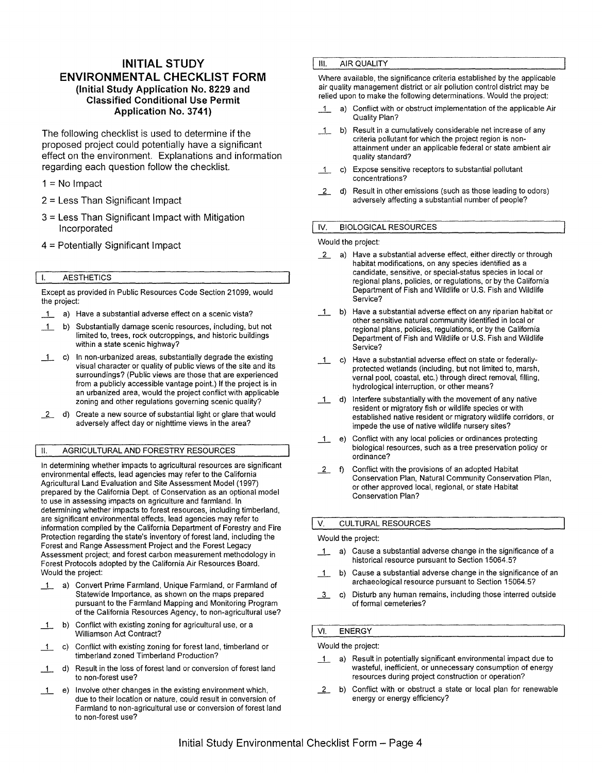# **INITIAL STUDY ENVIRONMENTAL CHECKLIST FORM (Initial Study Application No. 8229 and Classified Conditional Use Permit Application No. 3741)**

The following checklist is used to determine if the proposed project could potentially have a significant effect on the environment. Explanations and information regarding each question follow the checklist.

 $1 = No$  Impact

- 2 = Less Than Significant Impact
- 3 = Less Than Significant Impact with Mitigation Incorporated
- 4 = Potentially Significant Impact

## I. AESTHETICS

Except as provided in Public Resources Code Section 21099, would the project:

- 1 a) Have a substantial adverse effect on a scenic vista?
- \_1\_ b) Substantially damage scenic resources, including, but not limited to, trees, rock outcroppings, and historic buildings within a state scenic highway?
- \_1\_ c) In non-urbanized areas, substantially degrade the existing visual character or quality of public views of the site and its surroundings? (Public views are those that are experienced from a publicly accessible vantage point.) If the project is in an urbanized area, would the project conflict with applicable zoning and other regulations governing scenic quality?
- 2 d) Create a new source of substantial light or glare that would adversely affect day or nighttime views in the area?

## II. AGRICULTURAL AND FORESTRY RESOURCES

In determining whether impacts to agricultural resources are significant environmental effects, lead agencies may refer to the California Agricultural Land Evaluation and Site Assessment Model (1997) prepared by the California Dept. of Conservation as an optional model to use in assessing impacts on agriculture and farmland. In determining whether impacts to forest resources, including timberland, are significant environmental effects, lead agencies may refer to information compiled by the California Department of Forestry and Fire Protection regarding the state's inventory of forest land, including the Forest and Range Assessment Project and the Forest Legacy Assessment project; and forest carbon measurement methodology in Forest Protocols adopted by the California Air Resources Board. Would the project:

- \_1\_ a) Convert Prime Farmland, Unique Farmland, or Farmland of Statewide Importance, as shown on the maps prepared pursuant to the Farmland Mapping and Monitoring Program of the California Resources Agency, to non-agricultural use?
- \_1\_ b) Conflict with existing zoning for agricultural use, or a Williamson Act Contract?
- \_1\_ c) Conflict with existing zoning for forest land, timberland or timberland zoned Timberland Production?
- \_1\_ d} Result in the loss of forest land or conversion of forest land to non-forest use?
- \_1\_ e} Involve other changes in the existing environment which, due to their location or nature, could result in conversion of Farmland to non-agricultural use or conversion of forest land to non-forest use?

## **III.** AIR QUALITY

Where available, the significance criteria established by the applicable air quality management district or air pollution control district may be relied upon to make the following determinations. Would the project:

- \_1\_ a} Conflict with or obstruct implementation of the applicable Air Quality Plan?
- \_1\_ b} Result in a cumulatively considerable net increase of any criteria pollutant for which the project region is nonattainment under an applicable federal or state ambient air quality standard?
- \_1\_ c) Expose sensitive receptors to substantial pollutant concentrations?
- 2 d) Result in other emissions (such as those leading to odors) adversely affecting a substantial number of people?

## IV. BIOLOGICAL RESOURCES

Would the project:

- **2** a) Have a substantial adverse effect, either directly or through habitat modifications, on any species identified as a candidate, sensitive, or special-status species in local or regional plans, policies, or regulations, or by the California Department of Fish and Wildlife or U.S. Fish and Wildlife Service?
- \_1\_ b} Have a substantial adverse effect on any riparian habitat or other sensitive natural community identified in local or regional plans, policies, regulations, or by the California Department of Fish and Wildlife or U.S. Fish and Wildlife Service?
- \_1\_ c} Have a substantial adverse effect on state or federallyprotected wetlands (including, but not limited to, marsh, vernal pool, coastal, etc.} through direct removal, filling, hydrological interruption, or other means?
- \_1\_ d} Interfere substantially with the movement of any native resident or migratory fish or wildlife species or with established native resident or migratory wildlife corridors, or impede the use of native wildlife nursery sites?
- \_1\_ e) Conflict with any local policies or ordinances protecting biological resources, such as a tree preservation policy or ordinance?
- *L* f) Conflict with the provisions of an adopted Habitat Conservation Plan, Natural Community Conservation Plan, or other approved local, regional, or state Habitat Conservation Plan?

## V. CULTURAL RESOURCES

## Would the project:

- \_1\_ a} Cause a substantial adverse change in the significance of a historical resource pursuant to Section 15064.5?
- \_1\_ b) Cause a substantial adverse change in the significance of an archaeological resource pursuant to Section 15064.5?
- 1 c) Disturb any human remains, including those interred outside of formal cemeteries?

## VI. ENERGY

Would the project:

- \_1\_ a) Result in potentially significant environmental impact due to wasteful, inefficient, or unnecessary consumption of energy resources during project construction or operation?
- *L* b) Conflict with or obstruct a state or local plan for renewable energy or energy efficiency?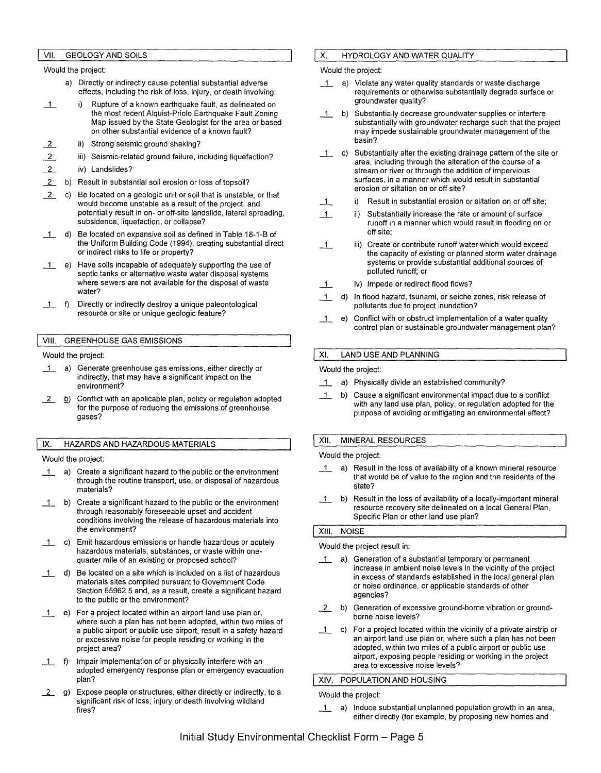## VII. GEOLOGY AND SOILS

Would the project:

- a) Directly or indirectly cause potential substantial adverse effects, including the risk of loss, injury, or death involving:
- 1 i) Rupture of a known earthquake fault, as delineated on the most recent Alquist-Priolo Earthquake Fault Zoning Map issued by the State Geologist for the area or based on other substantial evidence of a known fault?
- $\overline{2}$ ii) Strong seismic ground shaking?
- $\overline{2}$ iii) Seismic-related ground failure, including liquefaction?
- $\overline{2}$ iv) Landslides?
- $\mathbf{2}$ b) Result in substantial soil erosion or loss of topsoil?
- $\overline{2}$ c) Be located on a geologic unit or soil that is unstable, or that would become unstable as a result of the project, and potentially result in on- or off-site landslide, lateral spreading, subsidence, liquefaction, or collapse?
- \_1\_ d) Be located on expansive soil as defined in Table 18-1-B of the Uniform Building Code (1994), creating substantial direct or indirect risks to life or property?
- \_1\_ e) Have soils incapable of adequately supporting the use of septic tanks or alternative waste water disposal systems where sewers are not available for the disposal of waste water?
- \_1\_ f) Directly or indirectly destroy a unique paleontological resource or site or unique geologic feature?

#### VIII. GREENHOUSE GAS EMISSIONS

#### Would the project:

- 1\_ a) Generate greenhouse gas emissions, either directly or indirectly, that may have a significant impact on the environment?
- $\overline{2}$  b) Conflict with an applicable plan, policy or regulation adopted for the purpose of reducing the emissions of greenhouse gases?

## IX. HAZARDS AND HAZARDOUS MATERIALS

#### Would the project:

- 1 a) Create a significant hazard to the public or the environment through the routine transport, use, or disposal of hazardous materials?
- \_1\_ b) Create a significant hazard to the public or the environment through reasonably foreseeable upset and accident conditions involving the release of hazardous materials into the environment?
- 1 c) Emit hazardous emissions or handle hazardous or acutely hazardous materials, substances, or waste within onequarter mile of an existing or proposed school?
- 1 d) Be located on a site which is included on a list of hazardous materials sites compiled pursuant to Government Code Section 65962.5 and, as a result, create a significant hazard to the public or the environment?
- \_1\_ e) For a project located within an airport land use plan or, where such a plan has not been adopted, within two miles of a public airport or public use airport, result in a safety hazard or excessive noise for people residing or working in the project area?
- \_1\_ f) Impair implementation of or physically interfere with an adopted emergency response plan or emergency evacuation plan?
- 2 g) Expose people or structures, either directly or indirectly, to a significant risk of loss, injury or death involving wildland fires?

#### **X.** HYDROLOGY AND WATER QUALITY

#### Would the project:

- 1 a) Violate any water quality standards or waste discharge requirements or otherwise substantially degrade surface or groundwater quality?
- \_1\_ b) Substantially decrease groundwater supplies or interfere substantially with groundwater recharge such that the project may impede sustainable groundwater management of the basin?
- \_1\_ c) Substantially alter the existing drainage pattern of the site or area, including through the alteration of the course of a stream or river or through the addition of impervious surfaces, in a manner which would result in substantial erosion or siltation on or off site?
- \_1\_ i) Result in substantial erosion or siltation on or off site;
- \_1\_ ii) Substantially increase the rate or amount of surface runoff in a manner which would result in flooding on or off site;
- \_1\_ iii) Create or contribute runoff water which would exceed the capacity of existing or planned storm water drainage systems or provide substantial additional sources of polluted runoff; or
- \_1\_ iv) Impede or redirect flood flows?
- \_1\_ d) In flood hazard, tsunami, or seiche zones, risk release of pollutants due to project inundation?
- \_1\_ e) Conflict with or obstruct implementation of a water quality control plan or sustainable groundwater management plan?

## XI. LAND USE AND PLANNING

#### Would the project:

- 1 a) Physically divide an established community?
- \_1\_ b) Cause a significant environmental impact due to a conflict with any land use plan, policy, or regulation adopted for the purpose of avoiding or mitigating an environmental effect?

#### XII. MINERAL RESOURCES

#### Would the project:

- 1 a) Result in the loss of availability of a known mineral resource that would be of value to the region and the residents of the state?
- \_1\_ b) Result in the loss of availability of a locally-important mineral resource recovery site delineated on a local General Plan, Specific Plan or other land use plan?

## XIII. NOISE

#### Would the project result in:

- \_1\_ a) Generation of a substantial temporary or permanent increase in ambient noise levels in the vicinity of the project in excess of standards established in the local general plan or noise ordinance, or applicable standards of other agencies?
- \_2 b) Generation of excessive ground-borne vibration or groundborne noise levels?
- \_1\_ c) For a project located within the vicinity of a private airstrip or an airport land use plan or, where such a plan has not been adopted, within two miles of a public airport or public use airport, exposing people residing or working in the project area to excessive noise levels?

#### XIV. POPULATION AND HOUSING

#### Would the project:

 $\pm$  a) Induce substantial unplanned population growth in an area, either directly (for example, by proposing new homes and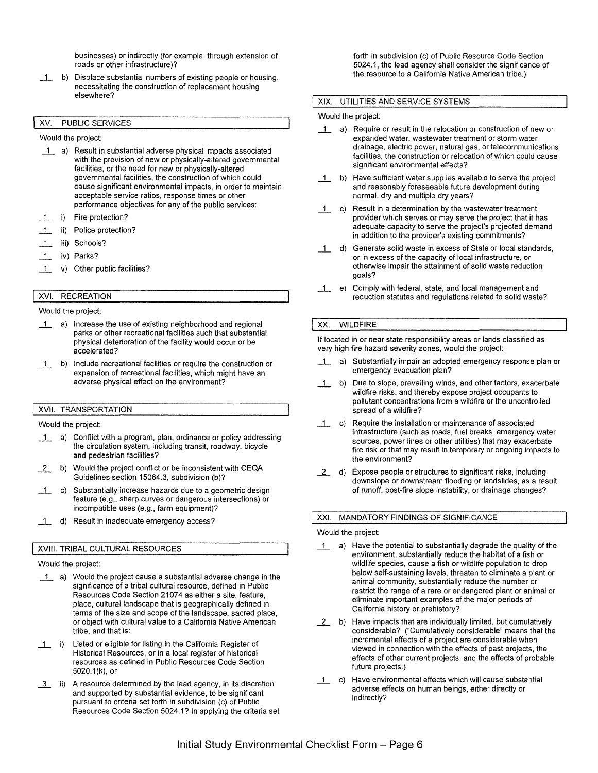businesses) or indirectly (for example, through extension of roads or other infrastructure)?

\_1\_ b) Displace substantial numbers of existing people or housing, necessitating the construction of replacement housing elsewhere?

## XV. PUBLIC SERVICES

Would the project:

- \_1\_ a) Result in substantial adverse physical impacts associated with the provision of new or physically-altered governmental facilities, or the need for new or physically-altered governmental facilities, the construction of which could cause significant environmental impacts, in order to maintain acceptable service ratios, response times or other performance objectives for any of the public services:
- \_1\_ i) Fire protection?
- \_1\_ ii) Police protection?
- \_1\_ iii) Schools?
- \_1\_ iv) Parks?
- \_1\_ v) Other public facilities?

# XVI. RECREATION

#### Would the project:

- 1 a) Increase the use of existing neighborhood and regional parks or other recreational facilities such that substantial physical deterioration of the facility would occur or be accelerated?
- \_1\_ b) Include recreational facilities or require the construction or expansion of recreational facilities, which might have an adverse physical effect on the environment?

#### **XVII.** TRANSPORTATION

Would the project:

- 1 a) Conflict with a program, plan, ordinance or policy addressing the circulation system, including transit, roadway, bicycle and pedestrian facilities?
- *\_\_L* b) Would the project conflict or be inconsistent with CEQA Guidelines section 15064.3, subdivision (b)?
- \_1\_ c) Substantially increase hazards due to a geometric design feature (e.g., sharp curves or dangerous intersections) or incompatible uses (e.g., farm equipment)?
- 1 d) Result in inadequate emergency access?

#### **XVIII.** TRIBAL CULTURAL RESOURCES

#### Would the project:

- \_1\_ a) Would the project cause a substantial adverse change in the significance of a tribal cultural resource, defined in Public Resources Code Section 21074 as either a site, feature, place, cultural landscape that is geographically defined in terms of the size and scope of the landscape, sacred place, or object with cultural value to a California Native American tribe, and that is:
- 1. i) Listed or eligible for listing in the California Register of Historical Resources, or in a local register of historical resources as defined in Public Resources Code Section 5020.1 (k), or
- $-3$  ii) A resource determined by the lead agency, in its discretion and supported by substantial evidence, to be significant pursuant to criteria set forth in subdivision (c) of Public Resources Code Section 5024.1? In applying the criteria set

forth in subdivision (c) of Public Resource Code Section 5024.1, the lead agency shall consider the significance of the resource to a California Native American tribe.)

#### **XIX.** UTILITIES AND SERVICE SYSTEMS

#### Would the project:

- 1\_ a) Require or result in the relocation or construction of new or expanded water, wastewater treatment or storm water drainage, electric power, natural gas, or telecommunications facilities, the construction or relocation of which could cause significant environmental effects?
- b) Have sufficient water supplies available to serve the project and reasonably foreseeable future development during normal, dry and multiple dry years?
- $\overline{1}$  c) Result in a determination by the wastewater treatment provider which serves or may serve the project that it has adequate capacity to serve the project's projected demand in addition to the provider's existing commitments?
- \_1\_ d) Generate solid waste in excess of State or local standards, or in excess of the capacity of local infrastructure, or otherwise impair the attainment of solid waste reduction goals?
- \_1\_ e) Comply with federal, state, and local management and reduction statutes and regulations related to solid waste?

## XX. WILDFIRE

If located in or near state responsibility areas or lands classified as very high fire hazard severity zones, would the project:

- 1\_ a) Substantially impair an adopted emergency response plan or emergency evacuation plan?
- \_1\_ b) Due to slope, prevailing winds, and other factors, exacerbate wildfire risks, and thereby expose project occupants to pollutant concentrations from a wildfire or the uncontrolled spread of a wildfire?
- \_1\_ c) Require the installation or maintenance of associated infrastructure (such as roads, fuel breaks, emergency water sources, power lines or other utilities) that may exacerbate fire risk or that may result in temporary or ongoing impacts to the environment?
- *\_\_L* d) Expose people or structures to significant risks, including downslope or downstream flooding or landslides, as a result of runoff, post-fire slope instability, or drainage changes?

## XXI. MANDATORY FINDINGS OF SIGNIFICANCE

#### Would the project:

- 1 a) Have the potential to substantially degrade the quality of the environment, substantially reduce the habitat of a fish or wildlife species, cause a fish or wildlife population to drop below self-sustaining levels, threaten to eliminate a plant or animal community, substantially reduce the number or restrict the range of a rare or endangered plant or animal or eliminate important examples of the major periods of California history or prehistory?
- *\_\_L* b) Have impacts that are individually limited, but cumulatively considerable? ("Cumulatively considerable" means that the incremental effects of a project are considerable when viewed in connection with the effects of past projects, the effects of other current projects, and the effects of probable future projects.)
- 1 c) Have environmental effects which will cause substantial adverse effects on human beings, either directly or indirectly?